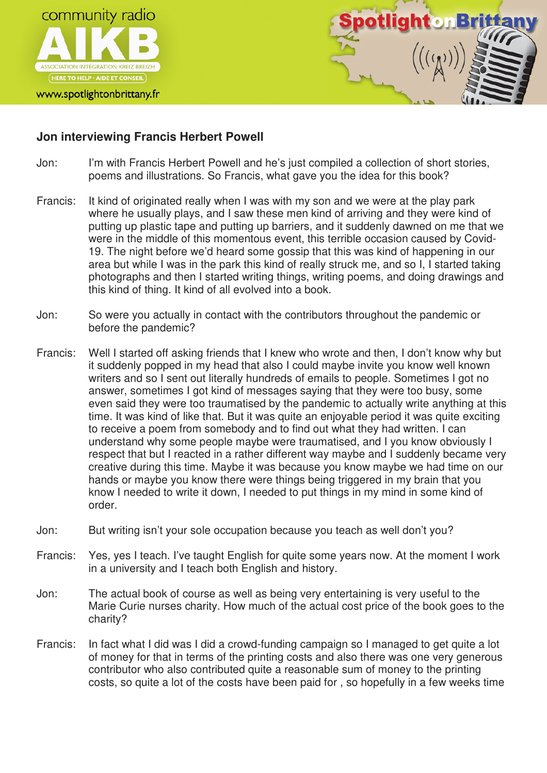

## www.spotlightonbrittany.fr



## **Jon interviewing Francis Herbert Powell**

- Jon: I'm with Francis Herbert Powell and he's just compiled a collection of short stories, poems and illustrations. So Francis, what gave you the idea for this book?
- Francis: It kind of originated really when I was with my son and we were at the play park where he usually plays, and I saw these men kind of arriving and they were kind of putting up plastic tape and putting up barriers, and it suddenly dawned on me that we were in the middle of this momentous event, this terrible occasion caused by Covid-19. The night before we'd heard some gossip that this was kind of happening in our area but while I was in the park this kind of really struck me, and so I, I started taking photographs and then I started writing things, writing poems, and doing drawings and this kind of thing. It kind of all evolved into a book.
- Jon: So were you actually in contact with the contributors throughout the pandemic or before the pandemic?
- Francis: Well I started off asking friends that I knew who wrote and then, I don't know why but it suddenly popped in my head that also I could maybe invite you know well known writers and so I sent out literally hundreds of emails to people. Sometimes I got no answer, sometimes I got kind of messages saying that they were too busy, some even said they were too traumatised by the pandemic to actually write anything at this time. It was kind of like that. But it was quite an enjoyable period it was quite exciting to receive a poem from somebody and to find out what they had written. I can understand why some people maybe were traumatised, and I you know obviously I respect that but I reacted in a rather different way maybe and I suddenly became very creative during this time. Maybe it was because you know maybe we had time on our hands or maybe you know there were things being triggered in my brain that you know I needed to write it down, I needed to put things in my mind in some kind of order.
- Jon: But writing isn't your sole occupation because you teach as well don't you?
- Francis: Yes, yes I teach. I've taught English for quite some years now. At the moment I work in a university and I teach both English and history.
- Jon: The actual book of course as well as being very entertaining is very useful to the Marie Curie nurses charity. How much of the actual cost price of the book goes to the charity?
- Francis: In fact what I did was I did a crowd-funding campaign so I managed to get quite a lot of money for that in terms of the printing costs and also there was one very generous contributor who also contributed quite a reasonable sum of money to the printing costs, so quite a lot of the costs have been paid for , so hopefully in a few weeks time